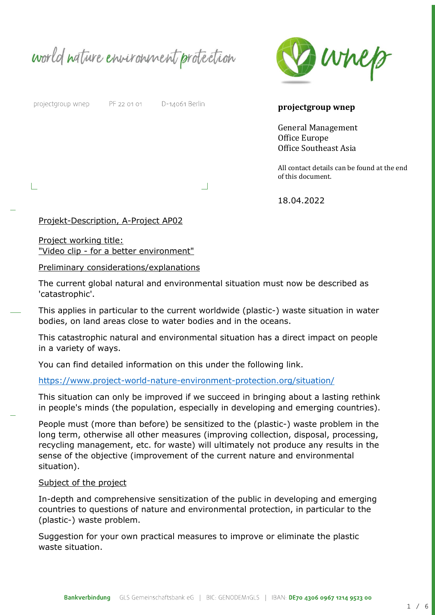world nature environment protection



projectgroup wnep

PF 22 01 01 D-14061 Berlin

**projectgroup wnep** 

General Management Office Europe Office Southeast Asia

All contact details can be found at the end of this document.

18.04.2022

### Projekt-Description, A-Project AP02

Project working title: "Video clip - for a better environment"

#### Preliminary considerations/explanations

The current global natural and environmental situation must now be described as 'catastrophic'.

 $\Box$ 

This applies in particular to the current worldwide (plastic-) waste situation in water bodies, on land areas close to water bodies and in the oceans.

This catastrophic natural and environmental situation has a direct impact on people in a variety of ways.

You can find detailed information on this under the following link.

### <https://www.project-world-nature-environment-protection.org/situation/>

This situation can only be improved if we succeed in bringing about a lasting rethink in people's minds (the population, especially in developing and emerging countries).

People must (more than before) be sensitized to the (plastic-) waste problem in the long term, otherwise all other measures (improving collection, disposal, processing, recycling management, etc. for waste) will ultimately not produce any results in the sense of the objective (improvement of the current nature and environmental situation).

### Subject of the project

In-depth and comprehensive sensitization of the public in developing and emerging countries to questions of nature and environmental protection, in particular to the (plastic-) waste problem.

Suggestion for your own practical measures to improve or eliminate the plastic waste situation.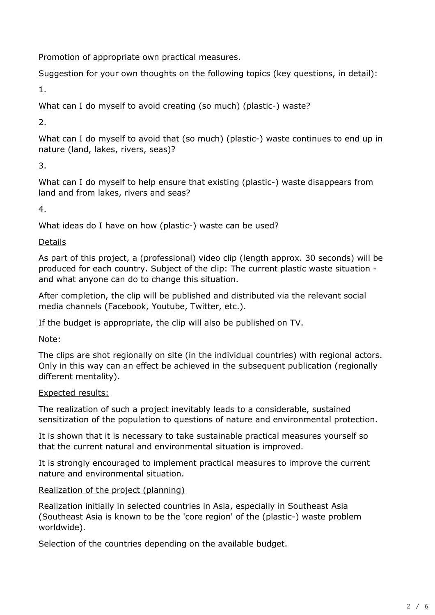Promotion of appropriate own practical measures.

Suggestion for your own thoughts on the following topics (key questions, in detail):

1.

What can I do myself to avoid creating (so much) (plastic-) waste?

2.

What can I do myself to avoid that (so much) (plastic-) waste continues to end up in nature (land, lakes, rivers, seas)?

3.

What can I do myself to help ensure that existing (plastic-) waste disappears from land and from lakes, rivers and seas?

4.

What ideas do I have on how (plastic-) waste can be used?

Details

As part of this project, a (professional) video clip (length approx. 30 seconds) will be produced for each country. Subject of the clip: The current plastic waste situation and what anyone can do to change this situation.

After completion, the clip will be published and distributed via the relevant social media channels (Facebook, Youtube, Twitter, etc.).

If the budget is appropriate, the clip will also be published on TV.

Note:

The clips are shot regionally on site (in the individual countries) with regional actors. Only in this way can an effect be achieved in the subsequent publication (regionally different mentality).

## Expected results:

The realization of such a project inevitably leads to a considerable, sustained sensitization of the population to questions of nature and environmental protection.

It is shown that it is necessary to take sustainable practical measures yourself so that the current natural and environmental situation is improved.

It is strongly encouraged to implement practical measures to improve the current nature and environmental situation.

# Realization of the project (planning)

Realization initially in selected countries in Asia, especially in Southeast Asia (Southeast Asia is known to be the 'core region' of the (plastic-) waste problem worldwide).

Selection of the countries depending on the available budget.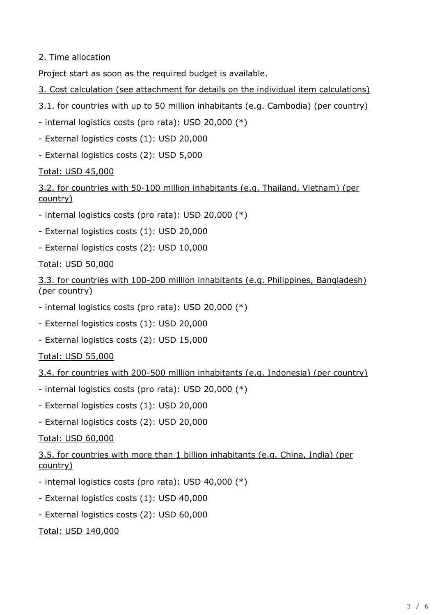2. Time allocation

Project start as soon as the required budget is available.

- 3. Cost calculation (see attachment for details on the individual item calculations)
- 3.1. for countries with up to 50 million inhabitants (e.g. Cambodia) (per country)
- internal logistics costs (pro rata): USD 20,000 (\*)
- External logistics costs (1): USD 20,000
- External logistics costs (2): USD 5,000

Total: USD 45,000

3.2. for countries with 50-100 million inhabitants (e.g. Thailand, Vietnam) (per country)

- internal logistics costs (pro rata): USD 20,000 (\*)
- External logistics costs (1): USD 20,000
- External logistics costs (2): USD 10,000

Total: USD 50,000

3.3. for countries with 100-200 million inhabitants (e.g. Philippines, Bangladesh) (per country)

- internal logistics costs (pro rata): USD 20,000 (\*)
- External logistics costs (1): USD 20,000
- External logistics costs (2): USD 15,000

Total: USD 55,000

- 3.4. for countries with 200-500 million inhabitants (e.g. Indonesia) (per country)
- internal logistics costs (pro rata): USD 20,000 (\*)
- External logistics costs (1): USD 20,000
- External logistics costs (2): USD 20,000

Total: USD 60,000

3.5. for countries with more than 1 billion inhabitants (e.g. China, India) (per country)

- internal logistics costs (pro rata): USD 40,000 (\*)
- External logistics costs (1): USD 40,000
- External logistics costs (2): USD 60,000

Total: USD 140,000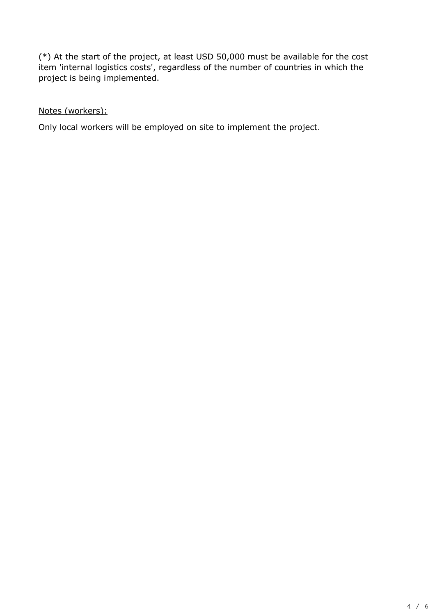(\*) At the start of the project, at least USD 50,000 must be available for the cost item 'internal logistics costs', regardless of the number of countries in which the project is being implemented.

Notes (workers):

Only local workers will be employed on site to implement the project.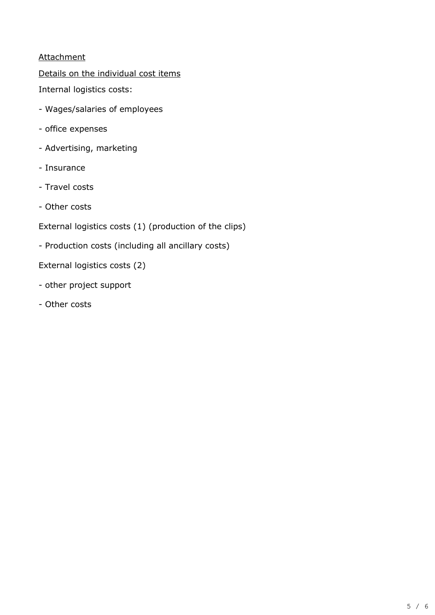## **Attachment**

Details on the individual cost items

Internal logistics costs:

- Wages/salaries of employees
- office expenses
- Advertising, marketing
- Insurance
- Travel costs
- Other costs

External logistics costs (1) (production of the clips)

- Production costs (including all ancillary costs)

External logistics costs (2)

- other project support
- Other costs